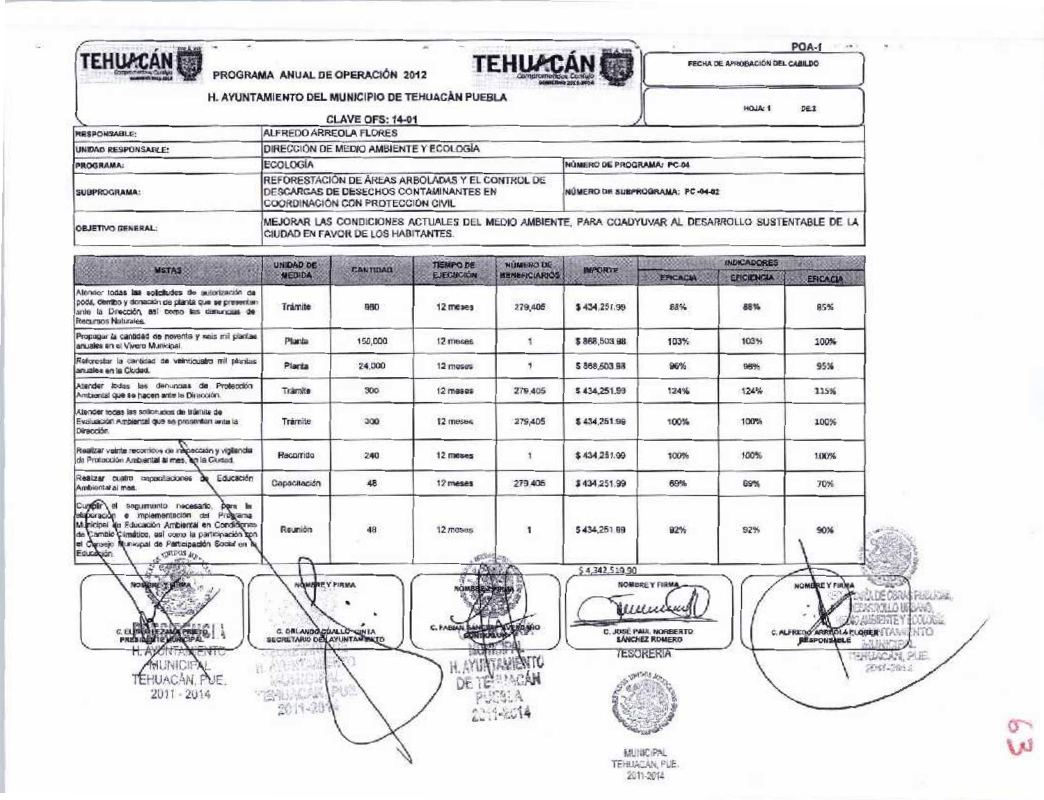